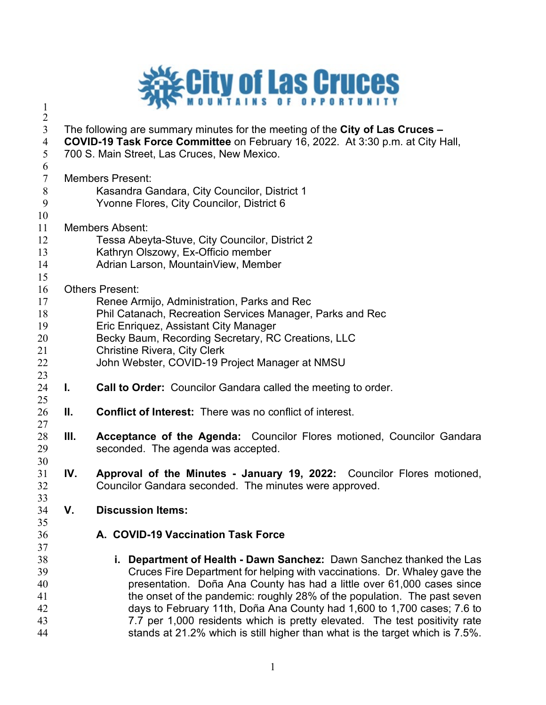

 The following are summary minutes for the meeting of the **City of Las Cruces – COVID-19 Task Force Committee** on February 16, 2022. At 3:30 p.m. at City Hall, 700 S. Main Street, Las Cruces, New Mexico.  $\frac{6}{7}$ Members Present: Kasandra Gandara, City Councilor, District 1 Yvonne Flores, City Councilor, District 6 Members Absent: Tessa Abeyta-Stuve, City Councilor, District 2 Kathryn Olszowy, Ex-Officio member Adrian Larson, MountainView, Member Others Present: Renee Armijo, Administration, Parks and Rec Phil Catanach, Recreation Services Manager, Parks and Rec Eric Enriquez, Assistant City Manager 20 Becky Baum, Recording Secretary, RC Creations, LLC Christine Rivera, City Clerk John Webster, COVID-19 Project Manager at NMSU **I. Call to Order:** Councilor Gandara called the meeting to order. **II. Conflict of Interest:** There was no conflict of interest. **III. Acceptance of the Agenda:** Councilor Flores motioned, Councilor Gandara seconded. The agenda was accepted. **IV. Approval of the Minutes - January 19, 2022:** Councilor Flores motioned, Councilor Gandara seconded. The minutes were approved. **V. Discussion Items: A. COVID-19 Vaccination Task Force i. Department of Health - Dawn Sanchez:** Dawn Sanchez thanked the Las Cruces Fire Department for helping with vaccinations. Dr. Whaley gave the presentation. Doña Ana County has had a little over 61,000 cases since 41 the onset of the pandemic: roughly 28% of the population. The past seven days to February 11th, Doña Ana County had 1,600 to 1,700 cases; 7.6 to 7.7 per 1,000 residents which is pretty elevated. The test positivity rate stands at 21.2% which is still higher than what is the target which is 7.5%.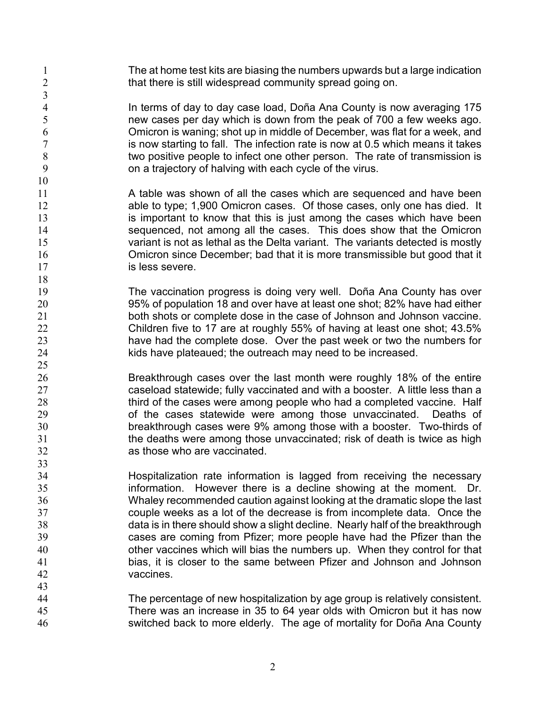The at home test kits are biasing the numbers upwards but a large indication 2 that there is still widespread community spread going on.

1 In terms of day to day case load, Doña Ana County is now averaging 175<br>5 The was also per day which is down from the peak of 700 a few weeks ago. new cases per day which is down from the peak of 700 a few weeks ago. Omicron is waning; shot up in middle of December, was flat for a week, and 7 is now starting to fall. The infection rate is now at 0.5 which means it takes two positive people to infect one other person. The rate of transmission is on a trajectory of halving with each cycle of the virus.

- 11 A table was shown of all the cases which are sequenced and have been able to type; 1,900 Omicron cases. Of those cases, only one has died. It 13 is important to know that this is just among the cases which have been sequenced, not among all the cases. This does show that the Omicron variant is not as lethal as the Delta variant. The variants detected is mostly Omicron since December; bad that it is more transmissible but good that it **is less severe.**
- The vaccination progress is doing very well. Doña Ana County has over 95% of population 18 and over have at least one shot; 82% have had either both shots or complete dose in the case of Johnson and Johnson vaccine. Children five to 17 are at roughly 55% of having at least one shot; 43.5% have had the complete dose. Over the past week or two the numbers for kids have plateaued; the outreach may need to be increased.
- Breakthrough cases over the last month were roughly 18% of the entire caseload statewide; fully vaccinated and with a booster. A little less than a 28 third of the cases were among people who had a completed vaccine. Half of the cases statewide were among those unvaccinated. Deaths of breakthrough cases were 9% among those with a booster. Two-thirds of the deaths were among those unvaccinated; risk of death is twice as high as those who are vaccinated.
- Hospitalization rate information is lagged from receiving the necessary information. However there is a decline showing at the moment. Dr. Whaley recommended caution against looking at the dramatic slope the last couple weeks as a lot of the decrease is from incomplete data. Once the data is in there should show a slight decline. Nearly half of the breakthrough cases are coming from Pfizer; more people have had the Pfizer than the other vaccines which will bias the numbers up. When they control for that bias, it is closer to the same between Pfizer and Johnson and Johnson vaccines.
- The percentage of new hospitalization by age group is relatively consistent. There was an increase in 35 to 64 year olds with Omicron but it has now switched back to more elderly. The age of mortality for Doña Ana County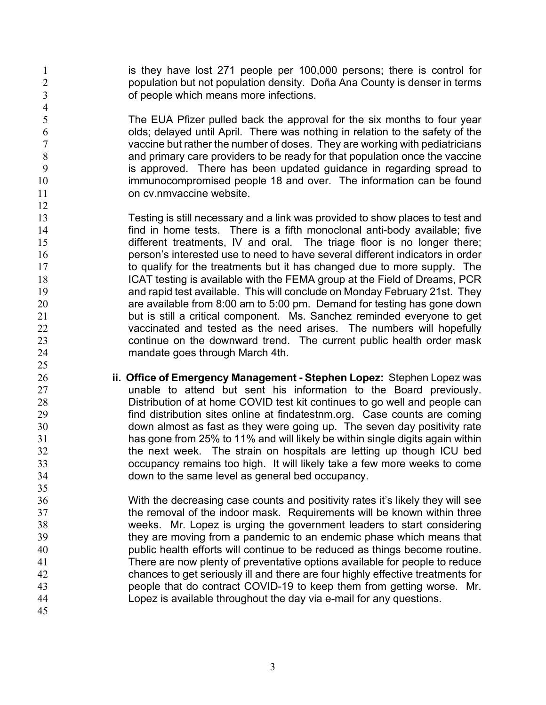is they have lost 271 people per 100,000 persons; there is control for population but not population density. Doña Ana County is denser in terms of people which means more infections.

 The EUA Pfizer pulled back the approval for the six months to four year olds; delayed until April. There was nothing in relation to the safety of the vaccine but rather the number of doses. They are working with pediatricians and primary care providers to be ready for that population once the vaccine is approved. There has been updated guidance in regarding spread to immunocompromised people 18 and over. The information can be found 11 on cv.nmvaccine website.

- Testing is still necessary and a link was provided to show places to test and find in home tests. There is a fifth monoclonal anti-body available; five different treatments, IV and oral. The triage floor is no longer there; person's interested use to need to have several different indicators in order 17 to qualify for the treatments but it has changed due to more supply. The ICAT testing is available with the FEMA group at the Field of Dreams, PCR and rapid test available. This will conclude on Monday February 21st. They are available from 8:00 am to 5:00 pm. Demand for testing has gone down 21 but is still a critical component. Ms. Sanchez reminded everyone to get vaccinated and tested as the need arises. The numbers will hopefully 23 continue on the downward trend. The current public health order mask mandate goes through March 4th.
- **ii. Office of Emergency Management - Stephen Lopez:** Stephen Lopez was unable to attend but sent his information to the Board previously. Distribution of at home COVID test kit continues to go well and people can find distribution sites online at findatestnm.org. Case counts are coming down almost as fast as they were going up. The seven day positivity rate has gone from 25% to 11% and will likely be within single digits again within the next week. The strain on hospitals are letting up though ICU bed occupancy remains too high. It will likely take a few more weeks to come down to the same level as general bed occupancy.
- With the decreasing case counts and positivity rates it's likely they will see **the removal of the indoor mask. Requirements will be known within three**  weeks. Mr. Lopez is urging the government leaders to start considering they are moving from a pandemic to an endemic phase which means that public health efforts will continue to be reduced as things become routine. There are now plenty of preventative options available for people to reduce chances to get seriously ill and there are four highly effective treatments for people that do contract COVID-19 to keep them from getting worse. Mr. Lopez is available throughout the day via e-mail for any questions.
	-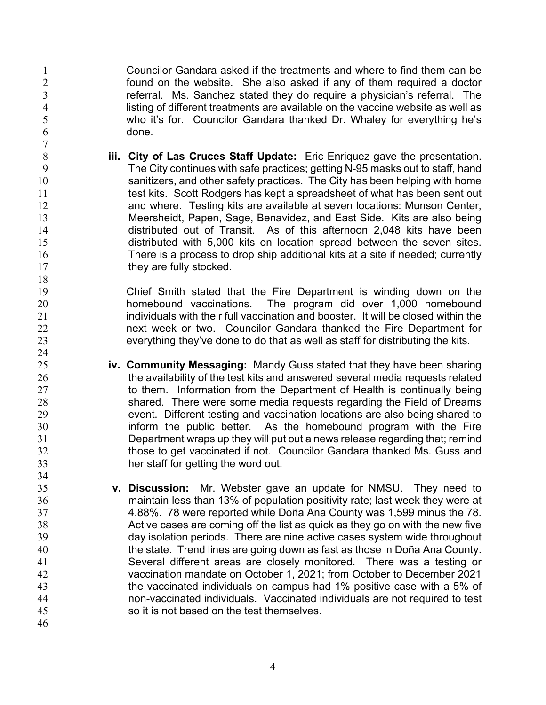Councilor Gandara asked if the treatments and where to find them can be found on the website. She also asked if any of them required a doctor referral. Ms. Sanchez stated they do require a physician's referral. The 4 listing of different treatments are available on the vaccine website as well as<br>5 who it's for. Councilor Gandara thanked Dr. Whaley for everything he's who it's for. Councilor Gandara thanked Dr. Whaley for everything he's done.

 **iii. City of Las Cruces Staff Update:** Eric Enriquez gave the presentation. The City continues with safe practices; getting N-95 masks out to staff, hand sanitizers, and other safety practices. The City has been helping with home 11 test kits. Scott Rodgers has kept a spreadsheet of what has been sent out and where. Testing kits are available at seven locations: Munson Center, Meersheidt, Papen, Sage, Benavidez, and East Side. Kits are also being distributed out of Transit. As of this afternoon 2,048 kits have been distributed with 5,000 kits on location spread between the seven sites. There is a process to drop ship additional kits at a site if needed; currently 17 they are fully stocked.

 Chief Smith stated that the Fire Department is winding down on the homebound vaccinations. The program did over 1,000 homebound individuals with their full vaccination and booster. It will be closed within the **next week or two.** Councilor Gandara thanked the Fire Department for everything they've done to do that as well as staff for distributing the kits.

- **iv. Community Messaging:** Mandy Guss stated that they have been sharing the availability of the test kits and answered several media requests related 27 to them. Information from the Department of Health is continually being shared. There were some media requests regarding the Field of Dreams event. Different testing and vaccination locations are also being shared to inform the public better. As the homebound program with the Fire Department wraps up they will put out a news release regarding that; remind those to get vaccinated if not. Councilor Gandara thanked Ms. Guss and her staff for getting the word out.
- **v. Discussion:** Mr. Webster gave an update for NMSU. They need to maintain less than 13% of population positivity rate; last week they were at 4.88%. 78 were reported while Doña Ana County was 1,599 minus the 78. Active cases are coming off the list as quick as they go on with the new five day isolation periods. There are nine active cases system wide throughout the state. Trend lines are going down as fast as those in Doña Ana County. Several different areas are closely monitored. There was a testing or vaccination mandate on October 1, 2021; from October to December 2021 the vaccinated individuals on campus had 1% positive case with a 5% of non-vaccinated individuals. Vaccinated individuals are not required to test so it is not based on the test themselves.
-